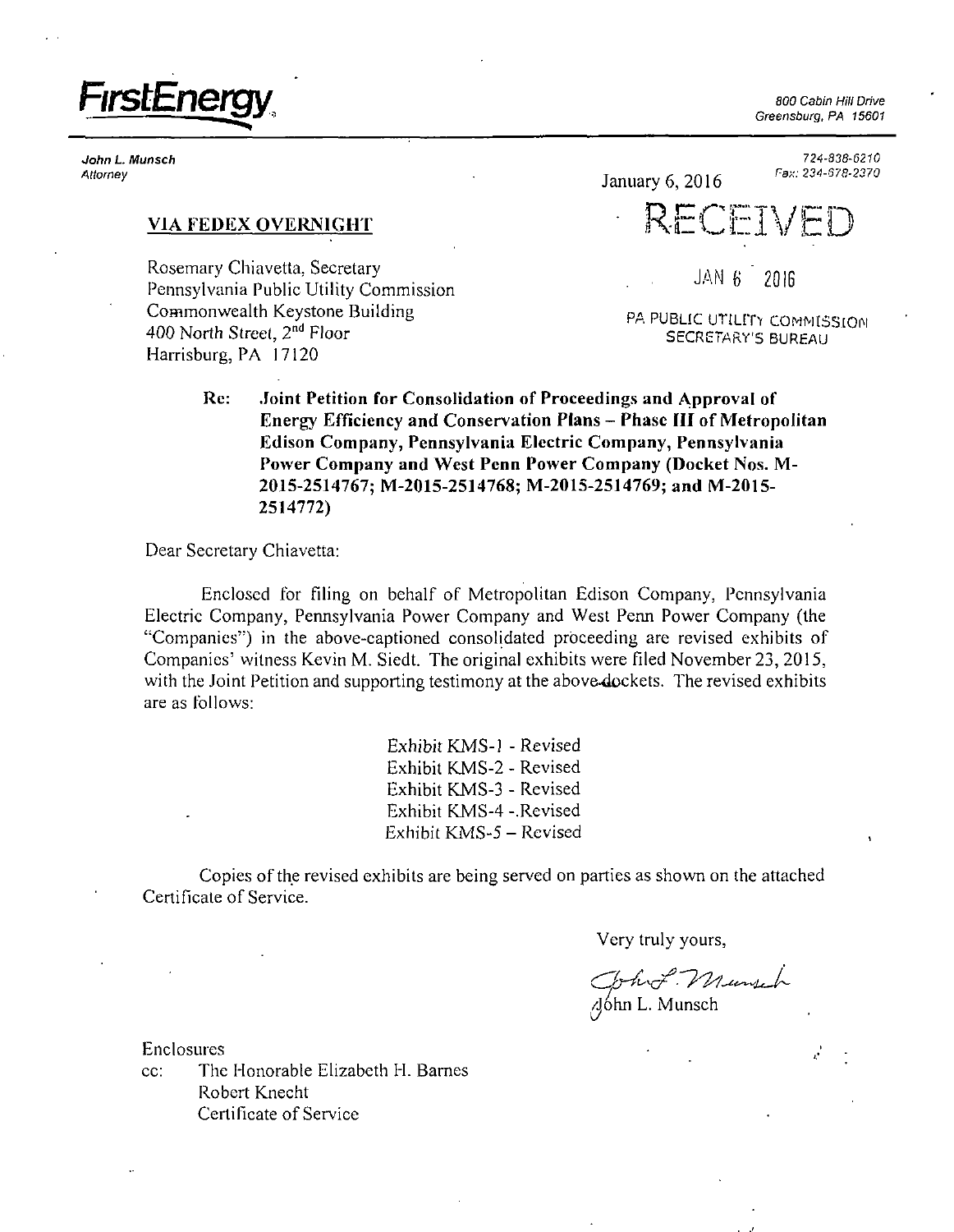

John L. Munsch Attorney

Greensburg, PA 15601

*724-838-6210 Fax: 234-678-2370* 

# **VIA FEDEX OVERNIGHT**

Rosemary Chiavetta, Secretary Pennsylvania Public Utility Commission Commonwealth Keystone Building 400 North Street, 2<sup>nd</sup> Floor Harrisburg, PA 17120

January 6, 2016 **RECEI** 

JAN 6 " 2016

PA PUBLIC UTILITY COMMISSION SECRETARY'S BUREAU

**Re: Joint Petition for Consolidation of Proceedings and Approval of Energy Efficiency and Conservation Plans - Phase HI of Metropolitan Edison Company, Pennsylvania Electric Company, Pennsylvania Power Company and West Penn Power Company (Docket Nos. M-2015-2514767; M-2015-2514768; M-2015-2514769; and M-2015- 2514772)** 

Dear Secretary Chiavetta:

Enclosed for fding on behalf of Metropolitan Edison Company, Pennsylvania Electric Company, Pennsylvania Power Company and West Penn Power Company (the ''Companies") in the above-captioned consolidated proceeding are revised exhibits of Companies' witness Kevin M. Siedt. The original exhibits were filed November 23, 2015, with the Joint Petition and supporting testimony at the above-4ockets. The revised exhibits are as follows:

> Exhibit KMS-1 - Revised Exhibit KMS-2 - Revised Exhibit KMS-3 - Revised Exhibit KMS-4 -.Revised Exhibit KMS-5-Revised

Copies of the revised exhibits are being served on parties as shown on the attached Certificate of Service.

Very truly yours,

John L. Munsch

Enclosures

cc: The Honorable Elizabeth H. Barnes Robert Knecht Certificate of Service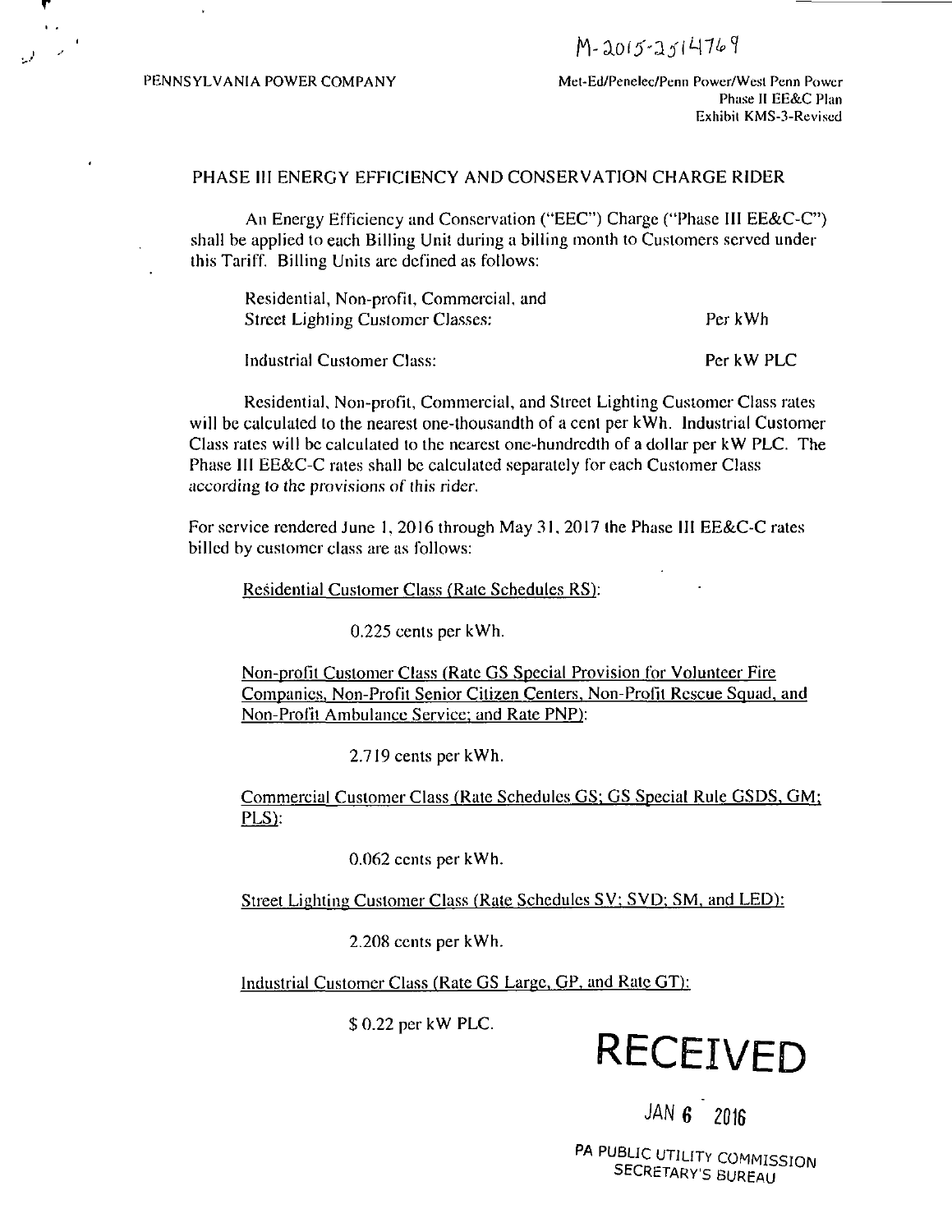M-2015-2514769

PENNSYLVANIA POWER COMPANY Met-Ed/Penelec/Penn Power/West Penn Power Phase II EE&C Plan Exhibil KMS-3-Reviscd

Per kW PLC

## PHASE III ENERGY EFFICIENCY AND CONSERVATION CHARGE RIDER

An Energy Efficiency and Conservation ("EEC") Charge ("Phase III EE&C-C") shall be applied to each Billing Unit during a billing month to Customers served under this Tariff. Billing Units arc defined as follows:

| Residential, Non-profit, Commercial, and |         |
|------------------------------------------|---------|
| Street Lighting Customer Classes:        | Per kWh |

Industrial Customer Class:

Residential, Non-profit, Commercial, and Street Lighting Customer Class rates will be calculated to the nearest one-thousandth of a cent per kWh. Industrial Customer Class rates will be calculated to the nearest one-hundredth of a dollar per kW PLC. The Phase III EE&C-C rates shall be calculated separately for each Customer Class according to the provisions of this rider.

For service rendered June 1, 2016 through May 31. 2017 the Phase III EE&C-C rates billed by customer class are as follows:

Residential Customer Class (Rate Schedules RS):

0.225 cents per kWh.

Non-profit Customer Class (Rate GS Special Provision for Volunteer Fire Companies, Non-Profit Senior Citizen Centers. Non-Profit Rescue Squad, and Non-Profit Ambulance Service; and Rate PNP):

2.719 cents per kWh.

Commercial Customer Class (Rate Schedules GS; GS Special Rule GSDS, GM: PLS):

0.062 cents per kWh.

Street Lighting Customer Class (Rate Schedules SV; SVD: SM. and LED):

2.208 cents per kWh.

Industrial Customer Class (Rate GS Large, GP, and Rate GT):

\$0.22 per kW PLC.

# **RECEIVED**

# JAN 6 ' 2016

'L, T V A PU SECRETARY'S BUREAU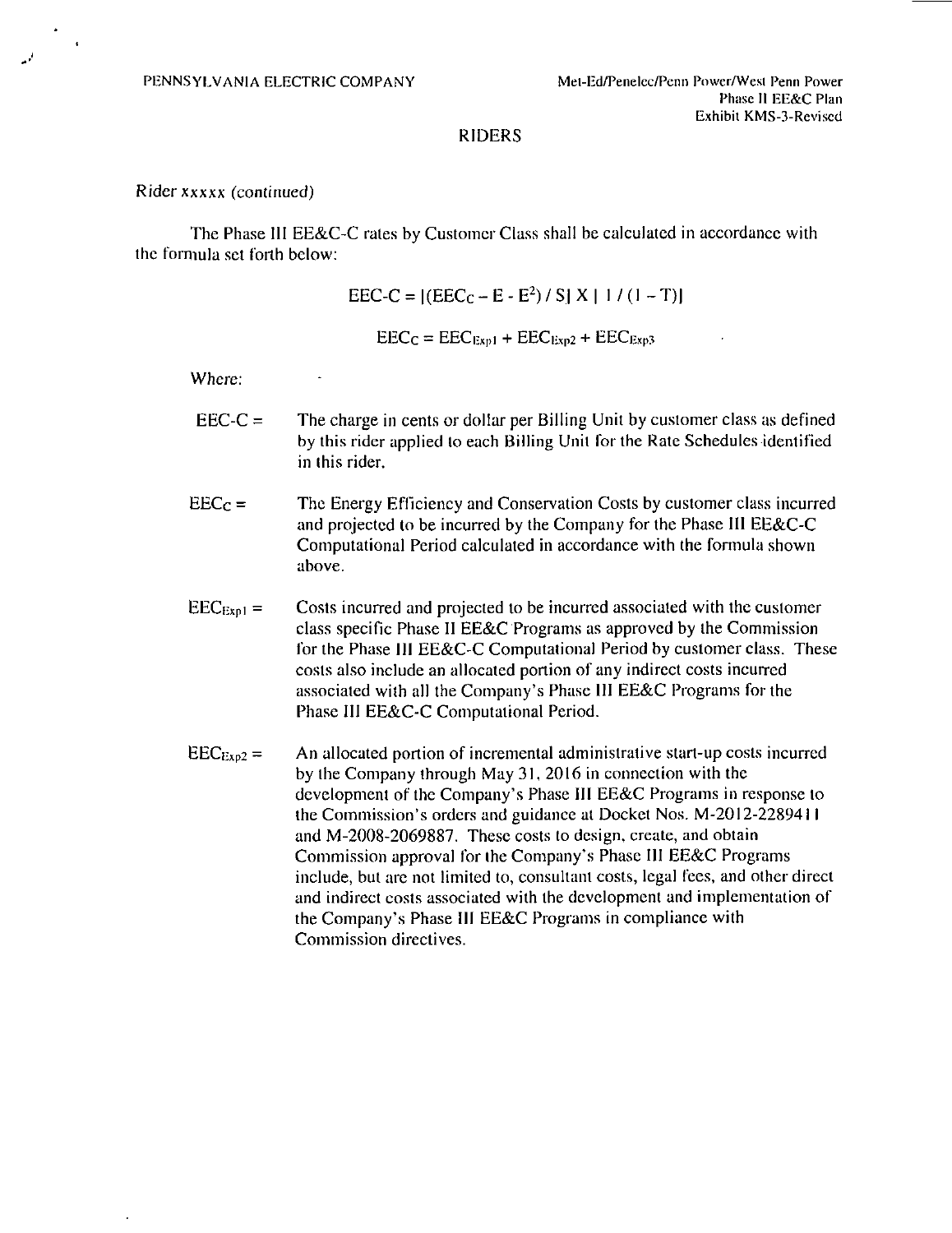### RIDERS

#### Rider xxxxx (continued)

The Phase III EE&C-C rates by Customer Class shall be calculated in accordance with the formula set forth below:

> $\text{EEC-C} = |(\text{EEC}_{\text{C}} - \text{E} - \text{E}^2)/S| X | 1 / (1 - T)|$  $EEC_C = EEC<sub>Exp1</sub> + EEC<sub>Exp2</sub> + EEC<sub>Exp3</sub>$

Where:

- $\text{EEC-C} =$  The charge in cents or dollar per Billing Unit by customer class as defined by this rider applied lo each Billing Unit for the Rate Schedules identified in this rider.
- $\text{EEC}_C =$  The Energy Efficiency and Conservation Costs by customer class incurred and projected to be incurred by the Company for the Phase III EE&C-C Computational Period calculated in accordance with the formula shown above.
- $\text{EEC}_{\text{Expl}} =$  Costs incurred and projected to be incurred associated with the customer class specific Phase II EE&C Programs as approved by the Commission for the Phase 111 EE&C-C Computational Period by customer class. These costs also include an allocated portion of any indirect costs incurred associated with all the Company's Phase III EE&C Programs for the Phase III EE&C-C Computational Period.
- $\text{EEC}_{\text{Exp2}} =$  An allocated portion of incremental administrative start-up costs incurred by the Company through May 31, 2016 in connection with the development of the Company's Phase III EE&C Programs in response lo the Commission's orders and guidance at Docket Nos. M-2012-2289411 and M-2008-2069887. These costs lo design, create, and obtain Commission approval for the Company's Phase III EE&C Programs include, but are not limited to, consultant costs, legal fees, and other direct and indirect costs associated with the development and implementation of the Company's Phase III EE&C Programs in compliance with Commission directives.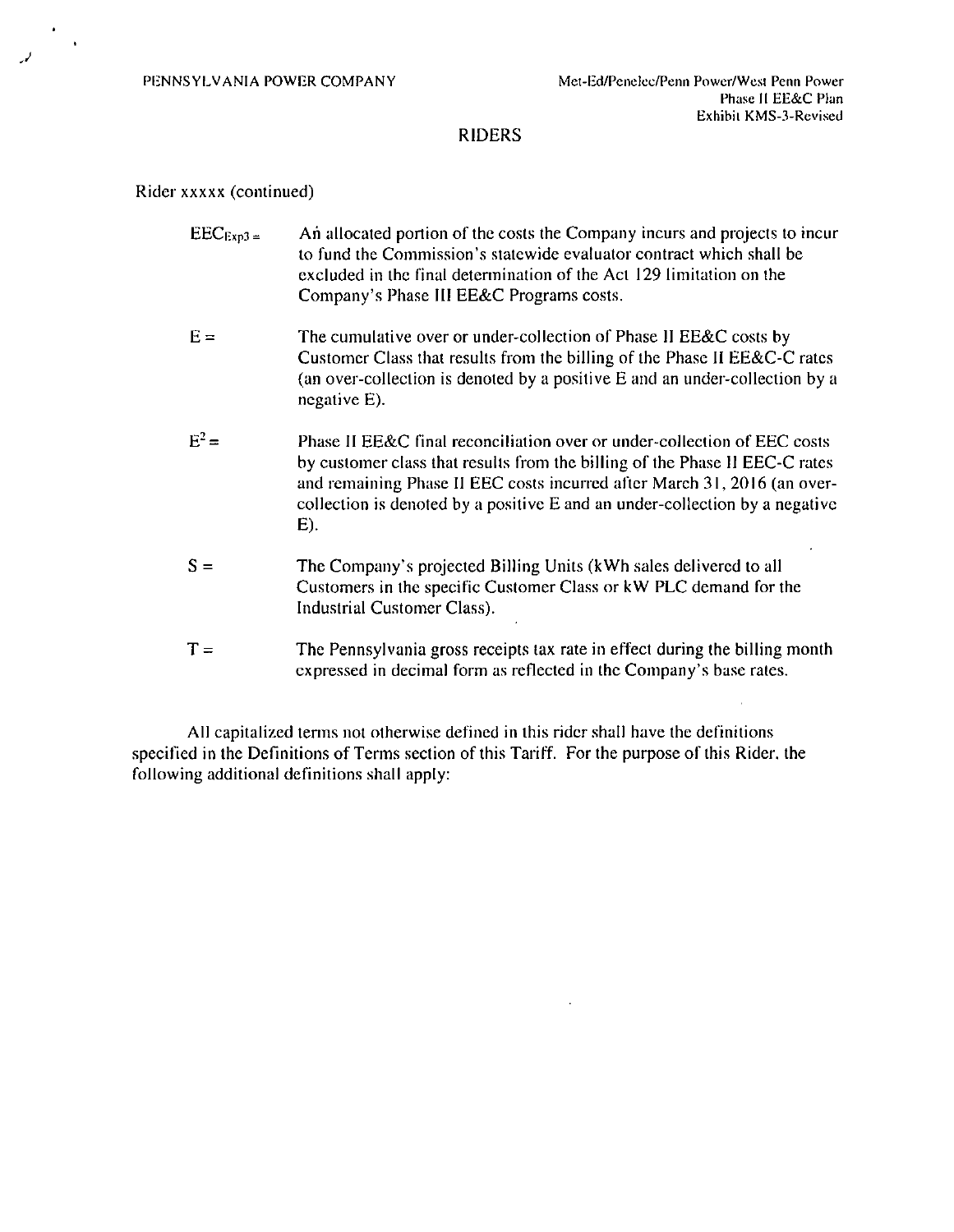## RIDERS

#### Rider xxxxx (continued)

- $\text{EEC}_{\text{Exp3}}$  = An allocated portion of the costs the Company incurs and projects to incur to fund the Commission's statewide evaluator contract which shall be excluded in the final determination of the Act 129 limitation on the Company's Phase III EE&C Programs costs.
- $E =$  The cumulative over or under-collection of Phase II EE&C costs by Customer Class that results from the billing of the Phase II EE&C-C rates (an over-collection is denoted by a positive E and an under-collection by a negative E).
- $E^2$ Phase II EE&C final reconciliation over or under-collection of EEC costs by customer class that results from the billing of the Phase II EEC-C rates and remaining Phase II EEC costs incurred after March 31, 2016 (an overcollection is denoted by a positive E and an under-collection by a negative E).
- $S =$  The Company's projected Billing Units (kWh sales delivered to all Customers in the specific Customer Class or kW PLC demand for the Industrial Customer Class).
- $T =$  The Pennsylvania gross receipts tax rate in effect during the billing month expressed in decimal form as reflected in the Company's base rates.

All capitalized terms not otherwise defined in this rider shall have the definitions specified in the Definitions of Terms section of this Tariff. For the purpose of this Rider, the following additional definitions shall apply: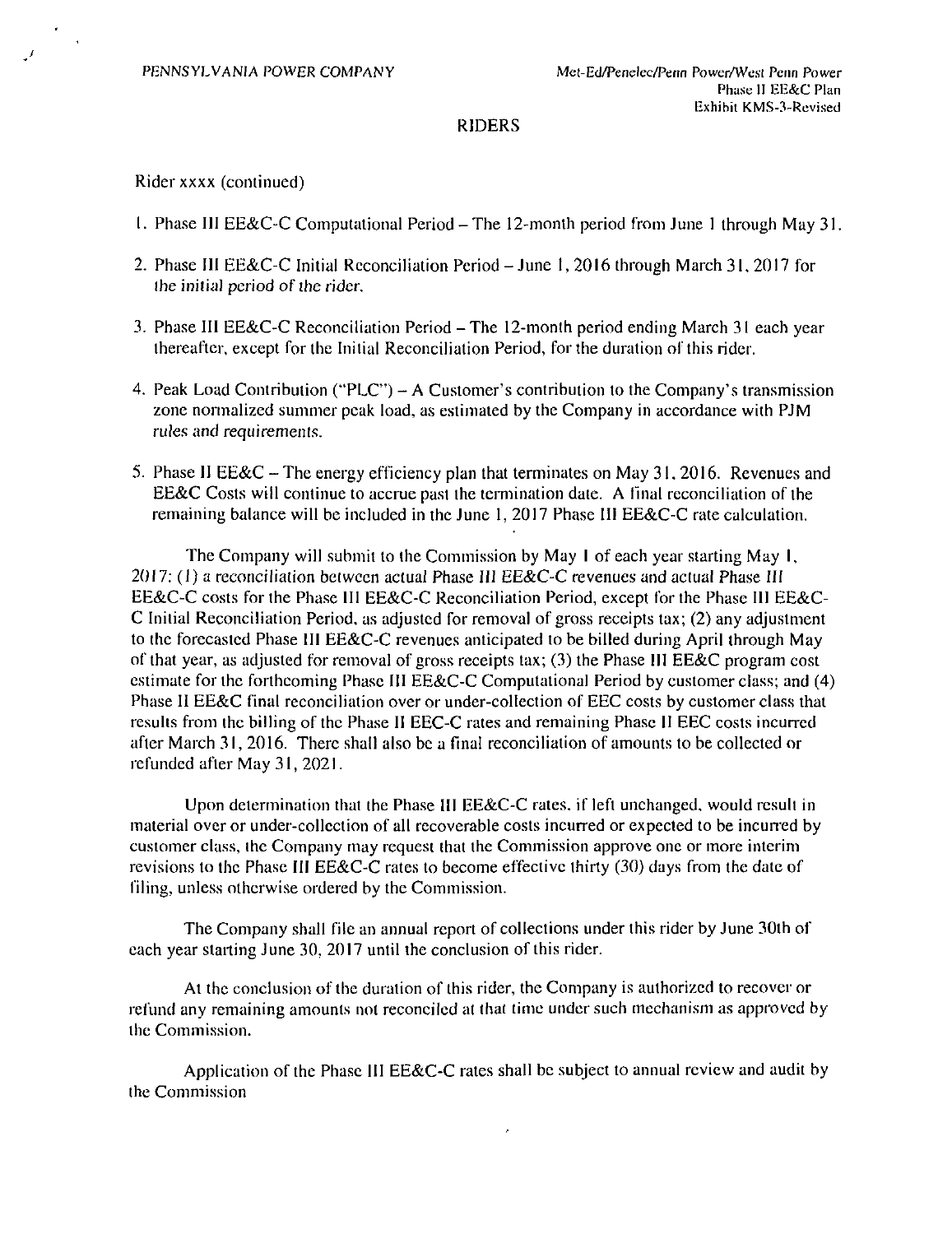PENNSYLVANIA POWER COMPANY Met-Ed/Penelec/Penn Power/West Penn Power

#### RIDERS

Rider xxxx (continued)

- 1. Phase HI EE&C-C Computational Period-The 12-monlh period from June 1 through May31
- 2. Phase III EE&C-C Initial Reconciliation Period June I , 2016 through March 31, 2017 for ihe initial period of the rider,
- 3. Phase III EE&C-C Reconciliation Period The 12-month period ending March 31 each year thereafter, except for the Initial Reconciliation Period, for the duration of this rider.
- 4. Peak Load Coniribulion ("PLC") A Customer's contribution to the Company's transmission zone normalized summer peak load, as estimated by the Company in accordance with PJM rules and requirements.
- 5. Phase II EE&C The energy efficiency plan that terminates on May 31, 2016. Revenues and EE&C Costs will continue to accrue past the termination date. A final reconciliation of the remaining balance will be included in the June 1, 2017 Phase III EE&C-C rate calculation.

The Company will submit to the Commission by May I of each year starting May I, 2017: (1) a reconciliation between actual Phase III EE&C-C revenues and actual Phase III EE&C-C costs for the Phase III EE&C-C Reconciliation Period, except for the Phase III EE&C-C Initial Reconciliation Period, as adjusted for removal of gross receipts tax; (2) any adjustment to the forecasted Phase III EE&C-C revenues anticipated to be billed during April through May of that year, as adjusted for removal of gross receipts tax; (3) the Phase III EE&C program cost estimate for the forthcoming Phase III EE&C-C Computational Period by customer class; and (4) Phase II EE&C final reconciliation over or under-collection of EEC costs by customer class that results from the billing of the Phase II EEC-C rates and remaining Phase II EEC costs incurred after March 31, 2016. There shall also be a final reconciliation of amounts to be collected or refunded after May 31, 2021.

Upon determination that the Phase III EE&C-C rates, if left unchanged, would result in material over or under-collection of all recoverable costs incurred or expected to be incurred by customer class, the Company may request that the Commission approve one or more interim revisions to the Phase III EE&C-C rates to become effective thirty (30) days from the date of filing, unless otherwise ordered by the Commission.

The Company shall file an annual report of collections under this rider by June 30th of each year starting June 30, 2017 until the conclusion of this rider.

At the conclusion of the duration of this rider, the Company is authorized to recover or refund any remaining amounts not reconciled at thai time under such mechanism as approved by the Commission.

Application of the Phase III EE&C-C rates shall be subject to annual review and audit by the Commission

 $\epsilon$